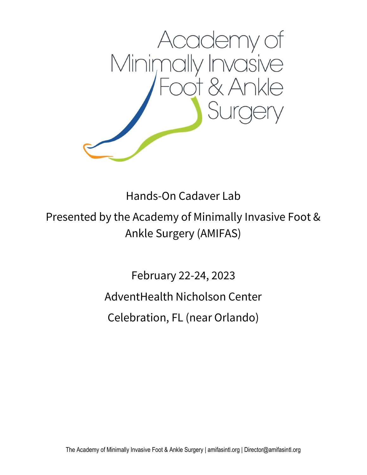

Hands-On Cadaver Lab

Presented by the Academy of Minimally Invasive Foot & Ankle Surgery (AMIFAS)

> February 22-24, 2023 AdventHealth Nicholson Center Celebration, FL (near Orlando)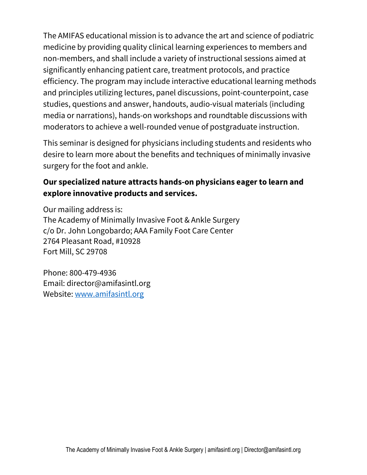The AMIFAS educational mission is to advance the art and science of podiatric medicine by providing quality clinical learning experiences to members and non-members, and shall include a variety of instructional sessions aimed at significantly enhancing patient care, treatment protocols, and practice efficiency. The program may include interactive educational learning methods and principles utilizing lectures, panel discussions, point-counterpoint, case studies, questions and answer, handouts, audio-visual materials (including media or narrations), hands-on workshops and roundtable discussions with moderators to achieve a well-rounded venue of postgraduate instruction.

This seminar is designed for physicians including students and residents who desire to learn more about the benefits and techniques of minimally invasive surgery for the foot and ankle.

# Our specialized nature attracts hands-on physicians eager to learn and explore innovative products and services.

Our mailing address is: The Academy of Minimally Invasive Foot & Ankle Surgery c/o Dr. John Longobardo; AAA Family Foot Care Center 2764 Pleasant Road, #10928 Fort Mill, SC 29708

Phone: 800-479-4936 Email: director@amifasintl.org Website: www.amifasintl.org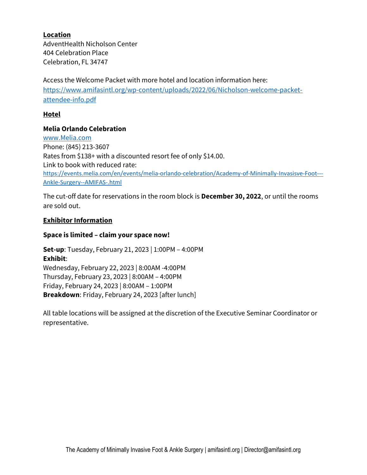# Location

AdventHealth Nicholson Center 404 Celebration Place Celebration, FL 34747

Access the Welcome Packet with more hotel and location information here: https://www.amifasintl.org/wp-content/uploads/2022/06/Nicholson-welcome-packetattendee-info.pdf

# Hotel

# Melia Orlando Celebration

www.Melia.com Phone: (845) 213-3607 Rates from \$138+ with a discounted resort fee of only \$14.00. Link to book with reduced rate: https://events.melia.com/en/events/melia-orlando-celebration/Academy-of-Minimally-Invasisve-Foot--- Ankle-Surgery--AMIFAS-.html

The cut-off date for reservations in the room block is December 30, 2022, or until the rooms are sold out.

### Exhibitor Information

### Space is limited – claim your space now!

Set-up: Tuesday, February 21, 2023 | 1:00PM – 4:00PM Exhibit: Wednesday, February 22, 2023 | 8:00AM -4:00PM Thursday, February 23, 2023 | 8:00AM – 4:00PM Friday, February 24, 2023 | 8:00AM – 1:00PM Breakdown: Friday, February 24, 2023 [after lunch]

All table locations will be assigned at the discretion of the Executive Seminar Coordinator or representative.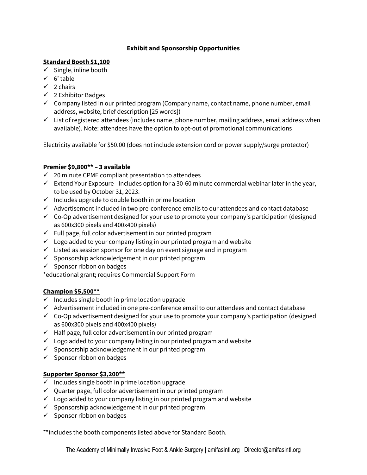# Exhibit and Sponsorship Opportunities

#### Standard Booth \$1,100

- $\checkmark$  Single, inline booth
- $\checkmark$  6' table
- $\checkmark$  2 chairs
- $\checkmark$  2 Exhibitor Badges
- $\checkmark$  Company listed in our printed program (Company name, contact name, phone number, email address, website, brief description [25 words])
- $\checkmark$  List of registered attendees (includes name, phone number, mailing address, email address when available). Note: attendees have the option to opt-out of promotional communications

Electricity available for \$50.00 (does not include extension cord or power supply/surge protector)

# Premier \$9,800\*\* – 3 available

- $\checkmark$  20 minute CPME compliant presentation to attendees
- $\checkmark$  Extend Your Exposure Includes option for a 30-60 minute commercial webinar later in the year, to be used by October 31, 2023.
- $\checkmark$  Includes upgrade to double booth in prime location
- $\checkmark$  Advertisement included in two pre-conference emails to our attendees and contact database
- $\checkmark$  Co-Op advertisement designed for your use to promote your company's participation (designed as 600x300 pixels and 400x400 pixels)
- $\checkmark$  Full page, full color advertisement in our printed program
- $\checkmark$  Logo added to your company listing in our printed program and website
- $\checkmark$  Listed as session sponsor for one day on event signage and in program
- $\checkmark$  Sponsorship acknowledgement in our printed program
- $\checkmark$  Sponsor ribbon on badges

\*educational grant; requires Commercial Support Form

#### Champion \$5,500\*\*

- $\checkmark$  Includes single booth in prime location upgrade
- $\checkmark$  Advertisement included in one pre-conference email to our attendees and contact database
- $\checkmark$  Co-Op advertisement designed for your use to promote your company's participation (designed as 600x300 pixels and 400x400 pixels)
- $\checkmark$  Half page, full color advertisement in our printed program
- $\checkmark$  Logo added to your company listing in our printed program and website
- $\checkmark$  Sponsorship acknowledgement in our printed program
- $\checkmark$  Sponsor ribbon on badges

# Supporter Sponsor \$3,200\*\*

- $\checkmark$  Includes single booth in prime location upgrade
- $\checkmark$  Quarter page, full color advertisement in our printed program
- $\checkmark$  Logo added to your company listing in our printed program and website
- $\checkmark$  Sponsorship acknowledgement in our printed program
- $\checkmark$  Sponsor ribbon on badges

\*\*includes the booth components listed above for Standard Booth.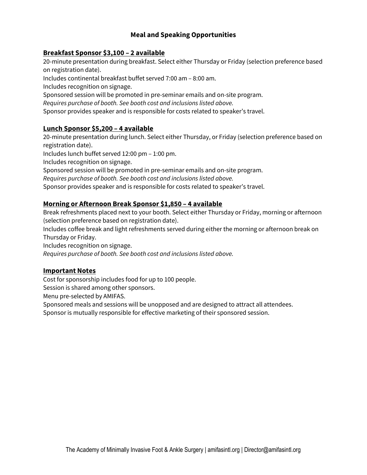# Meal and Speaking Opportunities

# Breakfast Sponsor \$3,100 – 2 available

20-minute presentation during breakfast. Select either Thursday or Friday (selection preference based on registration date).

Includes continental breakfast buffet served 7:00 am – 8:00 am.

Includes recognition on signage.

Sponsored session will be promoted in pre-seminar emails and on-site program.

Requires purchase of booth. See booth cost and inclusions listed above.

Sponsor provides speaker and is responsible for costs related to speaker's travel.

#### Lunch Sponsor \$5,200 – 4 available

20-minute presentation during lunch. Select either Thursday, or Friday (selection preference based on registration date).

Includes lunch buffet served 12:00 pm – 1:00 pm.

Includes recognition on signage.

Sponsored session will be promoted in pre-seminar emails and on-site program.

Requires purchase of booth. See booth cost and inclusions listed above.

Sponsor provides speaker and is responsible for costs related to speaker's travel.

### Morning or Afternoon Break Sponsor \$1,850 – 4 available

Break refreshments placed next to your booth. Select either Thursday or Friday, morning or afternoon (selection preference based on registration date).

Includes coffee break and light refreshments served during either the morning or afternoon break on Thursday or Friday.

Includes recognition on signage.

Requires purchase of booth. See booth cost and inclusions listed above.

#### Important Notes

Cost for sponsorship includes food for up to 100 people.

Session is shared among other sponsors.

Menu pre-selected by AMIFAS.

Sponsored meals and sessions will be unopposed and are designed to attract all attendees.

Sponsor is mutually responsible for effective marketing of their sponsored session.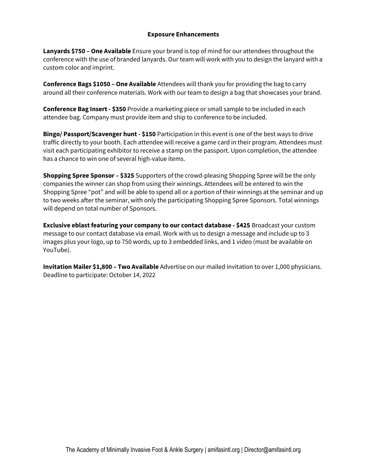#### Exposure Enhancements

Lanyards \$750 – One Available Ensure your brand is top of mind for our attendees throughout the conference with the use of branded lanyards. Our team will work with you to design the lanyard with a custom color and imprint.

Conference Bags \$1050 – One Available Attendees will thank you for providing the bag to carry around all their conference materials. Work with our team to design a bag that showcases your brand.

**Conference Bag Insert - \$350** Provide a marketing piece or small sample to be included in each attendee bag. Company must provide item and ship to conference to be included.

**Bingo/ Passport/Scavenger hunt - \$150** Participation in this event is one of the best ways to drive traffic directly to your booth. Each attendee will receive a game card in their program. Attendees must visit each participating exhibitor to receive a stamp on the passport. Upon completion, the attendee has a chance to win one of several high-value items.

**Shopping Spree Sponsor – \$325** Supporters of the crowd-pleasing Shopping Spree will be the only companies the winner can shop from using their winnings. Attendees will be entered to win the Shopping Spree "pot" and will be able to spend all or a portion of their winnings at the seminar and up to two weeks after the seminar, with only the participating Shopping Spree Sponsors. Total winnings will depend on total number of Sponsors.

Exclusive eblast featuring your company to our contact database - \$425 Broadcast your custom message to our contact database via email. Work with us to design a message and include up to 3 images plus your logo, up to 750 words, up to 3 embedded links, and 1 video (must be available on YouTube).

Invitation Mailer \$1,800 - Two Available Advertise on our mailed invitation to over 1,000 physicians. Deadline to participate: October 14, 2022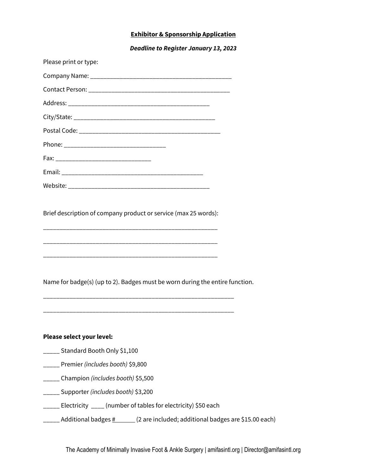# Exhibitor & Sponsorship Application

Deadline to Register January 13, 2023

| Please print or type:                                                        |
|------------------------------------------------------------------------------|
|                                                                              |
|                                                                              |
|                                                                              |
|                                                                              |
|                                                                              |
|                                                                              |
|                                                                              |
|                                                                              |
|                                                                              |
| Brief description of company product or service (max 25 words):              |
| Name for badge(s) (up to 2). Badges must be worn during the entire function. |
| Please select your level:                                                    |
| _____ Standard Booth Only \$1,100                                            |
| ____ Premier (includes booth) \$9,800                                        |
| _____ Champion (includes booth) \$5,500                                      |
| ____ Supporter (includes booth) \$3,200                                      |
| _____ Electricity ____ (number of tables for electricity) \$50 each          |

 $\pm$  Additional badges  $\frac{\mu}{2}$  (2 are included; additional badges are \$15.00 each)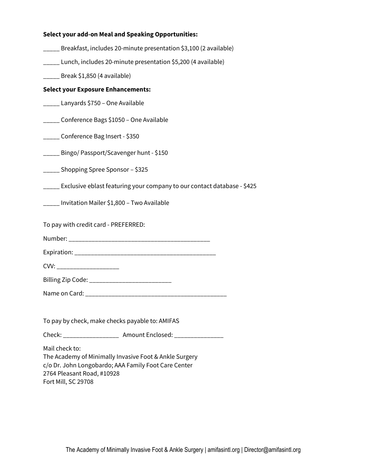| <b>Select your add-on Meal and Speaking Opportunities:</b>                                                                                                                            |
|---------------------------------------------------------------------------------------------------------------------------------------------------------------------------------------|
| _____ Breakfast, includes 20-minute presentation \$3,100 (2 available)                                                                                                                |
| _____ Lunch, includes 20-minute presentation \$5,200 (4 available)                                                                                                                    |
| $\frac{1}{2}$ Break \$1,850 (4 available)                                                                                                                                             |
| <b>Select your Exposure Enhancements:</b>                                                                                                                                             |
| _____ Lanyards \$750 – One Available                                                                                                                                                  |
| _____ Conference Bags \$1050 – One Available                                                                                                                                          |
| _____ Conference Bag Insert - \$350                                                                                                                                                   |
| _____ Bingo/ Passport/Scavenger hunt - \$150                                                                                                                                          |
| _____ Shopping Spree Sponsor - \$325                                                                                                                                                  |
| _____ Exclusive eblast featuring your company to our contact database - \$425                                                                                                         |
| _____ Invitation Mailer \$1,800 – Two Available                                                                                                                                       |
| To pay with credit card - PREFERRED:                                                                                                                                                  |
|                                                                                                                                                                                       |
|                                                                                                                                                                                       |
| CVV: _________________________                                                                                                                                                        |
|                                                                                                                                                                                       |
|                                                                                                                                                                                       |
|                                                                                                                                                                                       |
| To pay by check, make checks payable to: AMIFAS                                                                                                                                       |
| Check: _______________________ Amount Enclosed: _________________                                                                                                                     |
| Mail check to:<br>The Academy of Minimally Invasive Foot & Ankle Surgery<br>c/o Dr. John Longobardo; AAA Family Foot Care Center<br>2764 Pleasant Road, #10928<br>Fort Mill, SC 29708 |